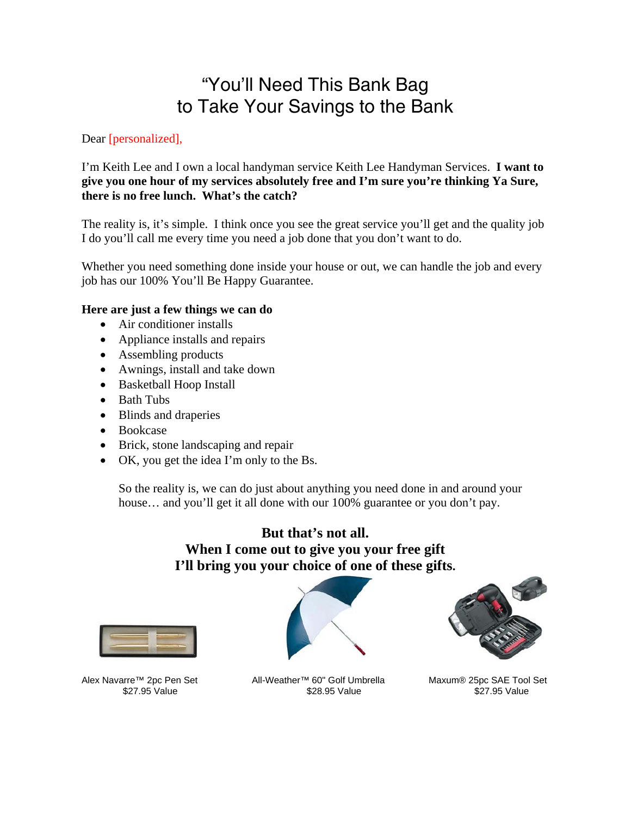## "You'll Need This Bank Bag to Take Your Savings to the Bank

Dear [personalized],

I'm Keith Lee and I own a local handyman service Keith Lee Handyman Services. **I want to give you one hour of my services absolutely free and I'm sure you're thinking Ya Sure, there is no free lunch. What's the catch?** 

The reality is, it's simple. I think once you see the great service you'll get and the quality job I do you'll call me every time you need a job done that you don't want to do.

Whether you need something done inside your house or out, we can handle the job and every job has our 100% You'll Be Happy Guarantee.

## **Here are just a few things we can do**

- Air conditioner installs
- Appliance installs and repairs
- Assembling products
- Awnings, install and take down
- Basketball Hoop Install
- Bath Tubs
- Blinds and draperies
- Bookcase
- Brick, stone landscaping and repair
- OK, you get the idea I'm only to the Bs.

So the reality is, we can do just about anything you need done in and around your house... and you'll get it all done with our 100% guarantee or you don't pay.

## **But that's not all. When I come out to give you your free gift I'll bring you your choice of one of these gifts.**



\$27.95 Value



Alex Navarre™ 2pc Pen Set All-Weather™ 60" Golf Umbrella Maxum® 25pc SAE Tool Set 327.95 Value \$27.95 Value